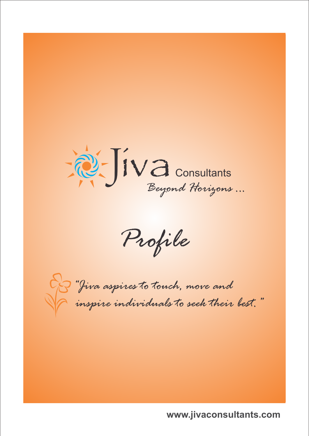

*Profile*



*"Jiva aspires to touch, move and inspire individuals to seek their best."*

**www.jivaconsultants.com**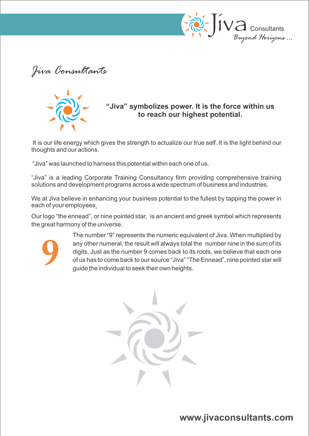

*Jiva Consultants*



### **"Jiva" symbolizes power. It is the force within us to reach our highest potential.**

It is our life energy which gives the strength to actualize our true self. It is the light behind our thoughts and our actions.

"Jiva" was launched to harness this potential within each one of us.

"Jiva" is a leading Corporate Training Consultancy firm providing comprehensive training solutions and development programs across a wide spectrum of business and industries.

We at Jiva believe in enhancing your business potential to the fullest by tapping the power in each of your employees.

Our logo "the ennead", or nine pointed star, is an ancient and greek symbol which represents the great harmony of the universe.



The number "9" represents the numeric equivalent of Jiva. When multiplied by any other numeral, the result will always total the number nine in the sum of its digits. Just as the number 9 comes back to its roots, we believe that each one of us has to come back to our source "Jiva" "The Ennead", nine pointed star will guide the individual to seek their own heights.

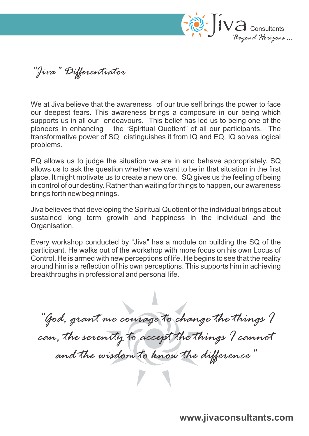

*"Jiva" Differentiator*

We at Jiva believe that the awareness of our true self brings the power to face our deepest fears. This awareness brings a composure in our being which supports us in all our endeavours. This belief has led us to being one of the pioneers in enhancing the "Spiritual Quotient" of all our participants. The transformative power of SQ distinguishes it from IQ and EQ. IQ solves logical problems.

EQ allows us to judge the situation we are in and behave appropriately. SQ allows us to ask the question whether we want to be in that situation in the first place. It might motivate us to create a new one. SQ gives us the feeling of being in control of our destiny. Rather than waiting for things to happen, our awareness brings forth new beginnings.

Jiva believes that developing the Spiritual Quotient of the individual brings about sustained long term growth and happiness in the individual and the Organisation.

Every workshop conducted by "Jiva" has a module on building the SQ of the participant. He walks out of the workshop with more focus on his own Locus of Control. He is armed with new perceptions of life. He begins to see that the reality around him is a reflection of his own perceptions. This supports him in achieving breakthroughs in professional and personal life.

*"God, grant me courage to change the things I*  can, the serenity to accept the things I cannot *and the wisdom to know the difference"*

**www.jivaconsultants.com**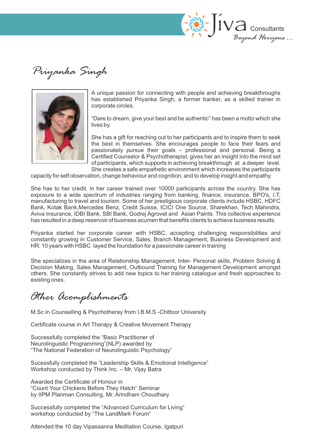

*Priyanka Singh*



A unique passion for connecting with people and achieving breakthroughs has established Priyanka Singh, a former banker, as a skilled trainer in corporate circles.

"Dare to dream, give your best and be authentic" has been a motto which she lives by.

She has a gift for reaching out to her participants and to inspire them to seek the best in themselves. She encourages people to face their fears and passionately pursue their goals – professional and personal. Being a Certified Counselor & Psychotherapist, gives her an insight into the mind set of participants, which supports in achieving breakthrough at a deeper level. She creates a safe empathetic environment which increases the participants

capacity for self observation, change behaviour and cognition, and to develop insight and empathy.

She has to her credit, in her career trained over 10000 participants across the country. She has exposure to a wide spectrum of industries ranging from banking, finance, insurance, BPO's, I.T, manufacturing to travel and tourism. Some of her prestigious corporate clients include HSBC, HDFC Bank, Kotak Bank,Mercedes Benz, Credit Suisse, ICICI One Source, Sharekhan, Tech Mahindra, Aviva Insurance, IDBI Bank, SBI Bank, Godrej Agrovet and Asian Paints. This collective experience has resulted in a deep reservoir of business acumen that benefits clients to achieve business results.

Priyanka started her corporate career with HSBC, accepting challenging responsibilities and constantly growing in Customer Service, Sales, Branch Management, Business Development and HR. 10 years with HSBC layed the foundation for a passionate career in training

She specializes in the area of Relationship Management, Inter- Personal skills, Problem Solving & Decision Making, Sales Management, Outbound Training for Management Development amongst others. She constantly strives to add new topics to her training catalogue and fresh approaches to existing ones.

# *Other Acomplishments*

M.Sc in Counselling & Psychotheray from I.B.M.S -Chittoor University

Certificate course in Art Therapy & Creative Movement Therapy

Successfully completed the "Basic Practitioner of Neurolinguistic Programming"(NLP) awarded by "The National Federation of Neurolinguistic Psychology"

Sucessfully completed the "Leadership Skills & Emotional Intelligence" Workshop conducted by Think Inc. – Mr. Vijay Batra

Awarded the Certificate of Honour in "Count Your Chickens Before They Hatch" Seminar by IIPM Planman Consulting, Mr. Arindham Choudhary

Successfully completed the "Advanced Curriculum for Living" workshop conducted by "The LandMark Forum"

Attended the 10 day Vipassanna Meditation Course, Igatpuri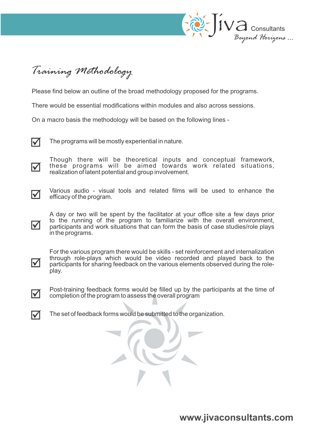

*Training Methodology*

Please find below an outline of the broad methodology proposed for the programs.

There would be essential modifications within modules and also across sessions.

On a macro basis the methodology will be based on the following lines -

 $\overline{\mathsf{M}}$ 

The programs will be mostly experiential in nature.

lV

Though there will be theoretical inputs and conceptual framework, these programs will be aimed towards work related situations, realization of latent potential and group involvement.



 $\boldsymbol{\nabla}$ 

Various audio - visual tools and related films will be used to enhance the efficacy of the program.

A day or two will be spent by the facilitator at your office site a few days prior to the running of the program to familiarize with the overall environment, participants and work situations that can form the basis of case studies/role plays in the programs.



For the various program there would be skills - set reinforcement and internalization through role-plays which would be video recorded and played back to the participants for sharing feedback on the various elements observed during the roleplay.



Post-training feedback forms would be filled up by the participants at the time of completion of the program to assess the overall program



The set of feedback forms would be submitted to the organization.